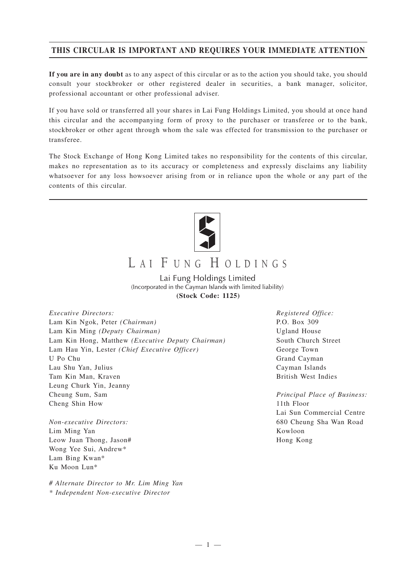# **THIS CIRCULAR IS IMPORTANT AND REQUIRES YOUR IMMEDIATE ATTENTION**

**If you are in any doubt** as to any aspect of this circular or as to the action you should take, you should consult your stockbroker or other registered dealer in securities, a bank manager, solicitor, professional accountant or other professional adviser.

If you have sold or transferred all your shares in Lai Fung Holdings Limited, you should at once hand this circular and the accompanying form of proxy to the purchaser or transferee or to the bank, stockbroker or other agent through whom the sale was effected for transmission to the purchaser or transferee.

The Stock Exchange of Hong Kong Limited takes no responsibility for the contents of this circular, makes no representation as to its accuracy or completeness and expressly disclaims any liability whatsoever for any loss howsoever arising from or in reliance upon the whole or any part of the contents of this circular.



# LAI FUNG HOLDINGS

Lai Fung Holdings Limited (Incorporated in the Cayman Islands with limited liability) **(Stock Code: 1125)**

*Executive Directors:* Lam Kin Ngok, Peter *(Chairman)* Lam Kin Ming *(Deputy Chairman)* Lam Kin Hong, Matthew *(Executive Deputy Chairman)* Lam Hau Yin, Lester *(Chief Executive Officer)* U Po Chu Lau Shu Yan, Julius Tam Kin Man, Kraven Leung Churk Yin, Jeanny Cheung Sum, Sam Cheng Shin How

*Non-executive Directors:* Lim Ming Yan Leow Juan Thong, Jason# Wong Yee Sui, Andrew\* Lam Bing Kwan\* Ku Moon Lun\*

*# Alternate Director to Mr. Lim Ming Yan \* Independent Non-executive Director*

*Registered Office:* P.O. Box 309 Ugland House South Church Street George Town Grand Cayman Cayman Islands British West Indies

*Principal Place of Business:* 11th Floor Lai Sun Commercial Centre 680 Cheung Sha Wan Road Kowloon Hong Kong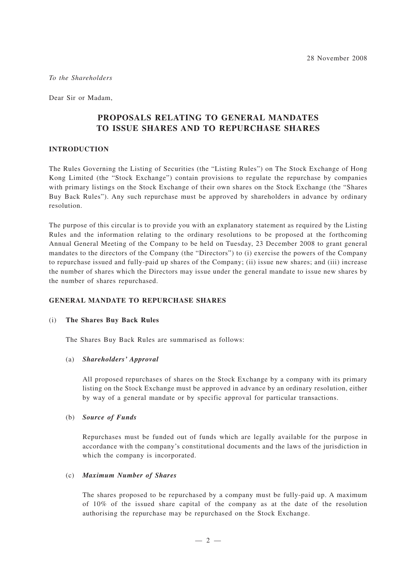*To the Shareholders*

Dear Sir or Madam,

# **PROPOSALS RELATING TO GENERAL MANDATES TO ISSUE SHARES AND TO REPURCHASE SHARES**

# **INTRODUCTION**

The Rules Governing the Listing of Securities (the "Listing Rules") on The Stock Exchange of Hong Kong Limited (the "Stock Exchange") contain provisions to regulate the repurchase by companies with primary listings on the Stock Exchange of their own shares on the Stock Exchange (the "Shares Buy Back Rules"). Any such repurchase must be approved by shareholders in advance by ordinary resolution.

The purpose of this circular is to provide you with an explanatory statement as required by the Listing Rules and the information relating to the ordinary resolutions to be proposed at the forthcoming Annual General Meeting of the Company to be held on Tuesday, 23 December 2008 to grant general mandates to the directors of the Company (the "Directors") to (i) exercise the powers of the Company to repurchase issued and fully-paid up shares of the Company; (ii) issue new shares; and (iii) increase the number of shares which the Directors may issue under the general mandate to issue new shares by the number of shares repurchased.

#### **GENERAL MANDATE TO REPURCHASE SHARES**

#### (i) **The Shares Buy Back Rules**

The Shares Buy Back Rules are summarised as follows:

#### (a) *Shareholders' Approval*

All proposed repurchases of shares on the Stock Exchange by a company with its primary listing on the Stock Exchange must be approved in advance by an ordinary resolution, either by way of a general mandate or by specific approval for particular transactions.

#### (b) *Source of Funds*

Repurchases must be funded out of funds which are legally available for the purpose in accordance with the company's constitutional documents and the laws of the jurisdiction in which the company is incorporated.

#### (c) *Maximum Number of Shares*

The shares proposed to be repurchased by a company must be fully-paid up. A maximum of 10% of the issued share capital of the company as at the date of the resolution authorising the repurchase may be repurchased on the Stock Exchange.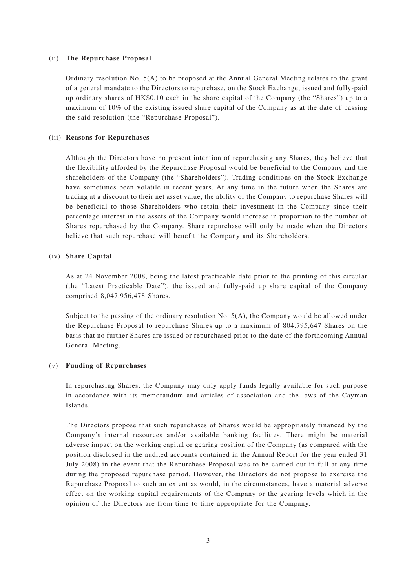#### (ii) **The Repurchase Proposal**

Ordinary resolution No. 5(A) to be proposed at the Annual General Meeting relates to the grant of a general mandate to the Directors to repurchase, on the Stock Exchange, issued and fully-paid up ordinary shares of HK\$0.10 each in the share capital of the Company (the "Shares") up to a maximum of 10% of the existing issued share capital of the Company as at the date of passing the said resolution (the "Repurchase Proposal").

#### (iii) **Reasons for Repurchases**

Although the Directors have no present intention of repurchasing any Shares, they believe that the flexibility afforded by the Repurchase Proposal would be beneficial to the Company and the shareholders of the Company (the "Shareholders"). Trading conditions on the Stock Exchange have sometimes been volatile in recent years. At any time in the future when the Shares are trading at a discount to their net asset value, the ability of the Company to repurchase Shares will be beneficial to those Shareholders who retain their investment in the Company since their percentage interest in the assets of the Company would increase in proportion to the number of Shares repurchased by the Company. Share repurchase will only be made when the Directors believe that such repurchase will benefit the Company and its Shareholders.

#### (iv) **Share Capital**

As at 24 November 2008, being the latest practicable date prior to the printing of this circular (the "Latest Practicable Date"), the issued and fully-paid up share capital of the Company comprised 8,047,956,478 Shares.

Subject to the passing of the ordinary resolution No. 5(A), the Company would be allowed under the Repurchase Proposal to repurchase Shares up to a maximum of 804,795,647 Shares on the basis that no further Shares are issued or repurchased prior to the date of the forthcoming Annual General Meeting.

#### (v) **Funding of Repurchases**

In repurchasing Shares, the Company may only apply funds legally available for such purpose in accordance with its memorandum and articles of association and the laws of the Cayman Islands.

The Directors propose that such repurchases of Shares would be appropriately financed by the Company's internal resources and/or available banking facilities. There might be material adverse impact on the working capital or gearing position of the Company (as compared with the position disclosed in the audited accounts contained in the Annual Report for the year ended 31 July 2008) in the event that the Repurchase Proposal was to be carried out in full at any time during the proposed repurchase period. However, the Directors do not propose to exercise the Repurchase Proposal to such an extent as would, in the circumstances, have a material adverse effect on the working capital requirements of the Company or the gearing levels which in the opinion of the Directors are from time to time appropriate for the Company.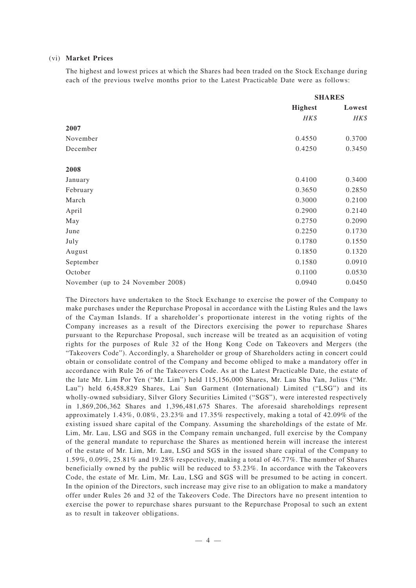#### (vi) **Market Prices**

The highest and lowest prices at which the Shares had been traded on the Stock Exchange during each of the previous twelve months prior to the Latest Practicable Date were as follows:

|                                   | <b>SHARES</b>  |        |
|-----------------------------------|----------------|--------|
|                                   | <b>Highest</b> | Lowest |
|                                   | HK\$           | HK\$   |
| 2007                              |                |        |
| November                          | 0.4550         | 0.3700 |
| December                          | 0.4250         | 0.3450 |
| 2008                              |                |        |
| January                           | 0.4100         | 0.3400 |
| February                          | 0.3650         | 0.2850 |
| March                             | 0.3000         | 0.2100 |
| April                             | 0.2900         | 0.2140 |
| May                               | 0.2750         | 0.2090 |
| June                              | 0.2250         | 0.1730 |
| July                              | 0.1780         | 0.1550 |
| August                            | 0.1850         | 0.1320 |
| September                         | 0.1580         | 0.0910 |
| October                           | 0.1100         | 0.0530 |
| November (up to 24 November 2008) | 0.0940         | 0.0450 |

The Directors have undertaken to the Stock Exchange to exercise the power of the Company to make purchases under the Repurchase Proposal in accordance with the Listing Rules and the laws of the Cayman Islands. If a shareholder's proportionate interest in the voting rights of the Company increases as a result of the Directors exercising the power to repurchase Shares pursuant to the Repurchase Proposal, such increase will be treated as an acquisition of voting rights for the purposes of Rule 32 of the Hong Kong Code on Takeovers and Mergers (the "Takeovers Code"). Accordingly, a Shareholder or group of Shareholders acting in concert could obtain or consolidate control of the Company and become obliged to make a mandatory offer in accordance with Rule 26 of the Takeovers Code. As at the Latest Practicable Date, the estate of the late Mr. Lim Por Yen ("Mr. Lim") held 115,156,000 Shares, Mr. Lau Shu Yan, Julius ("Mr. Lau") held 6,458,829 Shares, Lai Sun Garment (International) Limited ("LSG") and its wholly-owned subsidiary, Silver Glory Securities Limited ("SGS"), were interested respectively in 1,869,206,362 Shares and 1,396,481,675 Shares. The aforesaid shareholdings represent approximately 1.43%, 0.08%, 23.23% and 17.35% respectively, making a total of 42.09% of the existing issued share capital of the Company. Assuming the shareholdings of the estate of Mr. Lim, Mr. Lau, LSG and SGS in the Company remain unchanged, full exercise by the Company of the general mandate to repurchase the Shares as mentioned herein will increase the interest of the estate of Mr. Lim, Mr. Lau, LSG and SGS in the issued share capital of the Company to 1.59%, 0.09%, 25.81% and 19.28% respectively, making a total of 46.77%. The number of Shares beneficially owned by the public will be reduced to 53.23%. In accordance with the Takeovers Code, the estate of Mr. Lim, Mr. Lau, LSG and SGS will be presumed to be acting in concert. In the opinion of the Directors, such increase may give rise to an obligation to make a mandatory offer under Rules 26 and 32 of the Takeovers Code. The Directors have no present intention to exercise the power to repurchase shares pursuant to the Repurchase Proposal to such an extent as to result in takeover obligations.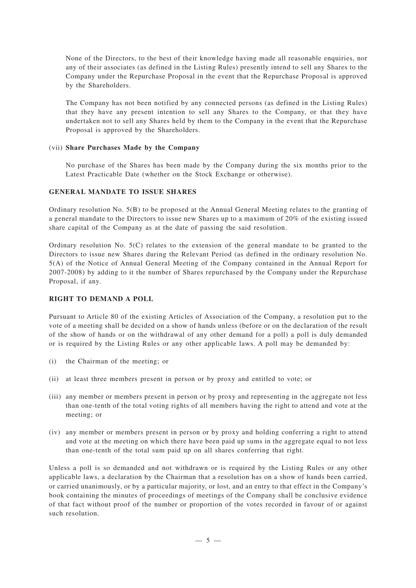None of the Directors, to the best of their knowledge having made all reasonable enquiries, nor any of their associates (as defined in the Listing Rules) presently intend to sell any Shares to the Company under the Repurchase Proposal in the event that the Repurchase Proposal is approved by the Shareholders.

The Company has not been notified by any connected persons (as defined in the Listing Rules) that they have any present intention to sell any Shares to the Company, or that they have undertaken not to sell any Shares held by them to the Company in the event that the Repurchase Proposal is approved by the Shareholders.

# (vii) **Share Purchases Made by the Company**

No purchase of the Shares has been made by the Company during the six months prior to the Latest Practicable Date (whether on the Stock Exchange or otherwise).

# **GENERAL MANDATE TO ISSUE SHARES**

Ordinary resolution No. 5(B) to be proposed at the Annual General Meeting relates to the granting of a general mandate to the Directors to issue new Shares up to a maximum of 20% of the existing issued share capital of the Company as at the date of passing the said resolution.

Ordinary resolution No. 5(C) relates to the extension of the general mandate to be granted to the Directors to issue new Shares during the Relevant Period (as defined in the ordinary resolution No. 5(A) of the Notice of Annual General Meeting of the Company contained in the Annual Report for 2007-2008) by adding to it the number of Shares repurchased by the Company under the Repurchase Proposal, if any.

### **RIGHT TO DEMAND A POLL**

Pursuant to Article 80 of the existing Articles of Association of the Company, a resolution put to the vote of a meeting shall be decided on a show of hands unless (before or on the declaration of the result of the show of hands or on the withdrawal of any other demand for a poll) a poll is duly demanded or is required by the Listing Rules or any other applicable laws. A poll may be demanded by:

- (i) the Chairman of the meeting; or
- (ii) at least three members present in person or by proxy and entitled to vote; or
- (iii) any member or members present in person or by proxy and representing in the aggregate not less than one-tenth of the total voting rights of all members having the right to attend and vote at the meeting; or
- (iv) any member or members present in person or by proxy and holding conferring a right to attend and vote at the meeting on which there have been paid up sums in the aggregate equal to not less than one-tenth of the total sum paid up on all shares conferring that right.

Unless a poll is so demanded and not withdrawn or is required by the Listing Rules or any other applicable laws, a declaration by the Chairman that a resolution has on a show of hands been carried, or carried unanimously, or by a particular majority, or lost, and an entry to that effect in the Company's book containing the minutes of proceedings of meetings of the Company shall be conclusive evidence of that fact without proof of the number or proportion of the votes recorded in favour of or against such resolution.